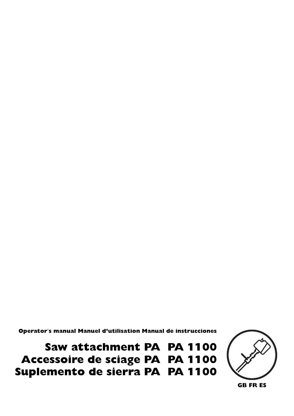Operator′s manual Manuel d'utilisation Manual de instrucciones

Saw attachment PA PA 1100 Accessoire de sciage PA PA 1100 Suplemento de sierra PA PA 1100



**GB FR ES**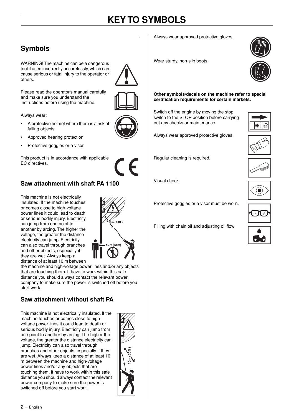# **KEY TO SYMBOLS**

.

# **Symbols**

WARNING! The machine can be a dangerous tool if used incorrectly or carelessly, which can cause serious or fatal injury to the operator or others.



Please read the operator's manual carefully and make sure you understand the instructions before using the machine.

Always wear:

- A protective helmet where there is a risk of falling objects
- Approved hearing protection
- Protective goggles or a visor

This product is in accordance with applicable EC directives.



#### **Saw attachment with shaft PA 1100**

This machine is not electrically insulated. If the machine touches or comes close to high-voltage power lines it could lead to death or serious bodily injury. Electricity can jump from one point to another by arcing. The higher the voltage, the greater the distance electricity can jump. Electricity can also travel through branches and other objects, especially if they are wet. Always keep a distance of at least 10 m between



the machine and high-voltage power lines and/or any objects that are touching them. If have to work within this safe distance you should always contact the relevant power company to make sure the power is switched off before you start work.

### **Saw attachment without shaft PA**

This machine is not electrically insulated. If the machine touches or comes close to highvoltage power lines it could lead to death or serious bodily injury. Electricity can jump from one point to another by arcing. The higher the voltage, the greater the distance electricity can jump. Electricity can also travel through branches and other objects, especially if they are wet. Always keep a distance of at least 10 m between the machine and high-voltage power lines and/or any objects that are touching them. If have to work within this safe distance you should always contact the relevant power company to make sure the power is switched off before you start work.

 $2$  – English



Always wear approved protective gloves.



Wear sturdy, non-slip boots.

**Other symbols/decals on the machine refer to special certification requirements for certain markets.**

Switch off the engine by moving the stop switch to the STOP position before carrying out any checks or maintenance.



Regular cleaning is required.

Visual check.

Protective goggles or a visor must be worn.

Filling with chain oil and adjusting oil flow











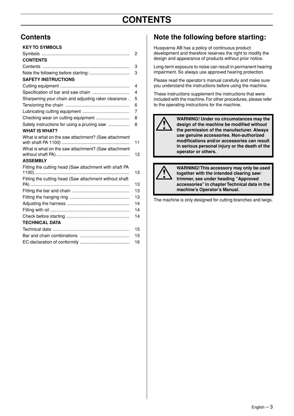# **CONTENTS**

#### **KEY TO SYMBOLS**

|                                                        | 2  |
|--------------------------------------------------------|----|
| <b>CONTENTS</b>                                        |    |
|                                                        | 3  |
|                                                        | 3  |
| <b>SAFETY INSTRUCTIONS</b>                             |    |
|                                                        | 4  |
| Specification of bar and saw chain                     | 4  |
| Sharpening your chain and adjusting raker clearance.   | 5  |
|                                                        | 6  |
|                                                        | 7  |
| Checking wear on cutting equipment                     | 8  |
| Safety instructions for using a pruning saw            | 8  |
| <b>WHAT IS WHAT?</b>                                   |    |
| What is what on the saw attachment? (Saw attachment    |    |
|                                                        | 11 |
| What is what on the saw attachment? (Saw attachment    | 12 |
| <b>ASSEMBLY</b>                                        |    |
| Fitting the cutting head (Saw attachment with shaft PA | 13 |
| Fitting the cutting head (Saw attachment without shaft | 13 |
|                                                        | 13 |
|                                                        | 13 |
|                                                        | 14 |
|                                                        | 14 |
|                                                        | 14 |
| <b>TECHNICAL DATA</b>                                  |    |
|                                                        | 15 |
|                                                        | 15 |
|                                                        | 16 |

### Contents **Note the following before starting:**

Husqvarna AB has a policy of continuous product development and therefore reserves the right to modify the design and appearance of products without prior notice.

Long-term exposure to noise can result in permanent hearing impairment. So always use approved hearing protection.

Please read the operator's manual carefully and make sure you understand the instructions before using the machine.

These instructions supplement the instructions that were included with the machine. For other procedures, please refer to the operating instructions for the machine.



**12 WARNING!** Under no circumstances may the<br>design of the machine be modified without<br>the permission of the manufacturer. Always **design of the machine be modified without the permission of the manufacturer. Always use genuine accessories. Non-authorized modifications and/or accessories can result in serious personal injury or the death of the operator or others.**



**WARNING! This accessory may only be used**<br>together with the intended clearing saw/<br>trimmer, see under heading "Approved **together with the intended clearing saw/ trimmer, see under heading "Approved accessories" in chapter Technical data in the machine's Operator's Manual.**

The machine is only designed for cutting branches and twigs.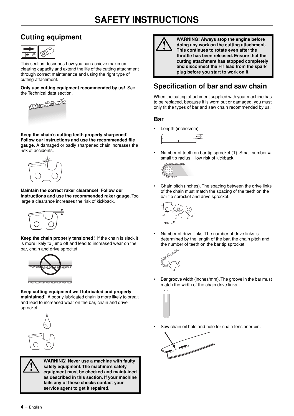# **Cutting equipment**



This section describes how you can achieve maximum clearing capacity and extend the life of the cutting attachment through correct maintenance and using the right type of cutting attachment.

**Only use cutting equipment recommended by us!** See the Technical data section.



**Keep the chain's cutting teeth properly sharpened! Follow our instructions and use the recommended file gauge.** A damaged or badly sharpened chain increases the risk of accidents.



**Maintain the correct raker clearance! Follow our instructions and use the recommended raker gauge.** Too large a clearance increases the risk of kickback.



**Keep the chain properly tensioned!** If the chain is slack it is more likely to jump off and lead to increased wear on the bar, chain and drive sprocket.



**Keep cutting equipment well lubricated and properly maintained!** A poorly lubricated chain is more likely to break and lead to increased wear on the bar, chain and drive sprocket.



**1** WARNING! Never use a machine with faulty<br>
safety equipment. The machine's safety<br>
equipment must be checked and maintained **safety equipment. The machine's safety as described in this section. If your machine fails any of these checks contact your service agent to get it repaired.**



**1993 WARNING! Always stop the engine before**<br> **1994 doing any work on the cutting attachment.**<br>
This continues to rotate even after the **doing any work on the cutting attachment. This continues to rotate even after the throttle has been released. Ensure that the cutting attachment has stopped completely and disconnect the HT lead from the spark plug before you start to work on it.**

# **Specification of bar and saw chain**

When the cutting attachment supplied with your machine has to be replaced, because it is worn out or damaged, you must only fit the types of bar and saw chain recommended by us.

#### **Bar**

• Length (inches/cm)



Number of teeth on bar tip sprocket  $(T)$ . Small number = small tip radius  $=$  low risk of kickback.



• Chain pitch (inches). The spacing between the drive links of the chain must match the spacing of the teeth on the bar tip sprocket and drive sprocket.



• Number of drive links. The number of drive links is determined by the length of the bar, the chain pitch and the number of teeth on the bar tip sprocket.



• Bar groove width (inches/mm). The groove in the bar must match the width of the chain drive links.



Saw chain oil hole and hole for chain tensioner pin.

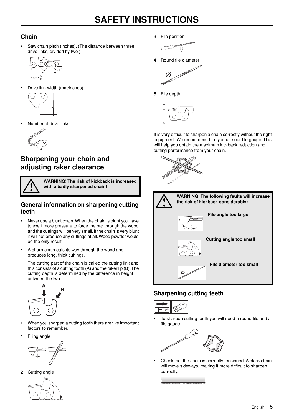#### **Chain**

Saw chain pitch (inches). (The distance between three drive links, divided by two.)



• Drive link width (mm/inches)



• Number of drive links.



## **Sharpening your chain and adjusting raker clearance**



**WARNING! The risk of kickback is increased with a badly sharpened chain!**

#### **General information on sharpening cutting teeth**

- Never use a blunt chain. When the chain is blunt you have to exert more pressure to force the bar through the wood and the cuttings will be very small. If the chain is very blunt it will not produce any cuttings at all. Wood powder would be the only result.
- A sharp chain eats its way through the wood and produces long, thick cuttings.

The cutting part of the chain is called the cutting link and this consists of a cutting tooth (A) and the raker lip (B). The cutting depth is determined by the difference in height between the two.



- When you sharpen a cutting tooth there are five important factors to remember.
- 1 Filing angle



2 Cutting angle



3 File position



4 Round file diameter



5 File depth



It is very difficult to sharpen a chain correctly without the right equipment. We recommend that you use our file gauge. This will help you obtain the maximum kickback reduction and cutting performance from your chain.





#### **Sharpening cutting teeth**



• To sharpen cutting teeth you will need a round file and a file gauge.



• Check that the chain is correctly tensioned. A slack chain will move sideways, making it more difficult to sharpen correctly.

<u>n de de de la de de de de de de de de de de d</u>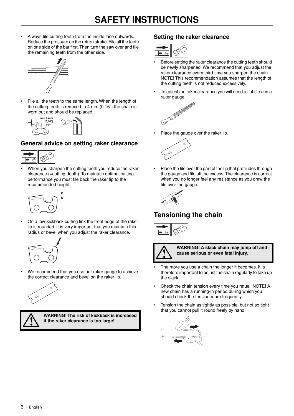Always file cutting teeth from the inside face outwards. Reduce the pressure on the return stroke. File all the teeth on one side of the bar first. Then turn the saw over and file the remaining teeth from the other side.



File all the teeth to the same length. When the length of the cutting teeth is reduced to 4 mm (0.16") the chain is worn out and should be replaced.



#### **General advice on setting raker clearance**



• When you sharpen the cutting teeth you reduce the raker clearance (=cutting depth). To maintain optimal cutting performance you must file back the raker lip to the recommended height.



• On a low-kickback cutting link the front edge of the raker lip is rounded. It is very important that you maintain this radius or bevel when you adjust the raker clearance.



We recommend that you use our raker gauge to achieve the correct clearance and bevel on the raker lip.



**!**

**WARNING! The risk of kickback is increased if the raker clearance is too large!**

#### **Setting the raker clearance**



- Before setting the raker clearance the cutting teeth should be newly sharpened. We recommend that you adjust the raker clearance every third time you sharpen the chain. NOTE! This recommendation assumes that the length of the cutting teeth is not reduced excessively.
- To adjust the raker clearance you will need a flat file and a raker gauge.



Place the gauge over the raker lip.



• Place the file over the part of the lip that protrudes through the gauge and file off the excess. The clearance is correct when you no longer feel any resistance as you draw the file over the gauge.



## **Tensioning the chain**





**! WARNING! A slack chain may jump off and cause serious or even fatal injury.**

- The more you use a chain the longer it becomes. It is therefore important to adjust the chain regularly to take up the slack.
- Check the chain tension every time you refuel. NOTE! A new chain has a running-in period during which you should check the tension more frequently.
- Tension the chain as tightly as possible, but not so tight that you cannot pull it round freely by hand.

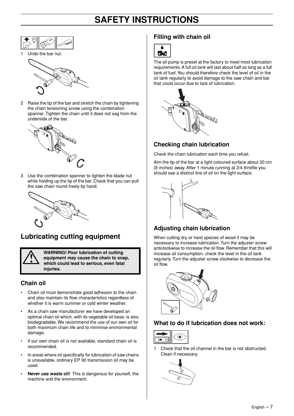

Undo the bar nut.



2 Raise the tip of the bar and stretch the chain by tightening the chain tensioning screw using the combination spanner. Tighten the chain until it does not sag from the underside of the bar.



3 Use the combination spanner to tighten the blade nut while holding up the tip of the bar. Check that you can pull the saw chain round freely by hand.



## **Lubricating cutting equipment**

**WARNING! Poor lubrication of cutting<br>
equipment may cause the chain to sna<br>
which could lead to serious, even fatal equipment may cause the chain to snap, which could lead to serious, even fatal injuries.**

#### **Chain oil**

- Chain oil must demonstrate good adhesion to the chain and also maintain its flow characteristics regardless of whether it is warm summer or cold winter weather.
- As a chain saw manufacturer we have developed an optimal chain oil which, with its vegetable oil base, is also biodegradable. We recommend the use of our own oil for both maximum chain life and to minimise environmental damage.
- If our own chain oil is not available, standard chain oil is recommended.
- In areas where oil specifically for lubrication of saw chains is unavailable, ordinary EP 90 transmission oil may be used.
- **Never use waste oil!** This is dangerous for yourself, the machine and the environment.

#### **Filling with chain oil**



The oil pump is preset at the factory to meet most lubrication requirements. A full oil tank will last about half as long as a full tank of fuel. You should therefore check the level of oil in the oil tank regularly to avoid damage to the saw chain and bar that could occur due to lack of lubrication.



#### **Checking chain lubrication**

Check the chain lubrication each time you refuel.

Aim the tip of the bar at a light coloured surface about 20 cm (8 inches) away. After 1 minute running at 3/4 throttle you should see a distinct line of oil on the light surface.



### **Adjusting chain lubrication**

When cutting dry or hard species of wood it may be necessary to increase lubrication. Turn the adjuster screw anticlockwise to increase the oil flow. Remember that this will increase oil consumption, check the level in the oil tank regularly. Turn the adjuster screw clockwise to decrease the oil flow.



#### **What to do if lubrication does not work:**



1 Check that the oil channel in the bar is not obstructed. Clean if necessary.

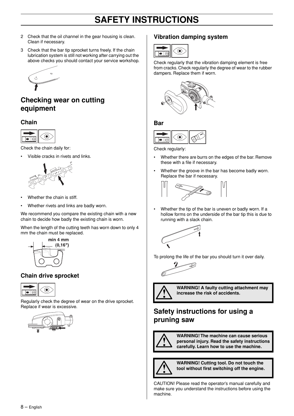- 2 Check that the oil channel in the gear housing is clean. Clean if necessary.
- 3 Check that the bar tip sprocket turns freely. If the chain lubrication system is still not working after carrying out the above checks you should contact your service workshop.



### **Checking wear on cutting equipment**

#### **Chain**



Check the chain daily for:

• Visible cracks in rivets and links.



- Whether the chain is stiff.
- Whether rivets and links are badly worn.

We recommend you compare the existing chain with a new chain to decide how badly the existing chain is worn.

When the length of the cutting teeth has worn down to only 4 mm the chain must be replaced.



#### **Chain drive sprocket**



Regularly check the degree of wear on the drive sprocket. Replace if wear is excessive.



#### **Vibration damping system**



Check regularly that the vibration damping element is free from cracks. Check regularly the degree of wear to the rubber dampers. Replace them if worn.



#### **Bar**



Check regularly:

- Whether there are burrs on the edges of the bar. Remove these with a file if necessary.
- Whether the groove in the bar has become badly worn. Replace the bar if necessary.



• Whether the tip of the bar is uneven or badly worn. If a hollow forms on the underside of the bar tip this is due to running with a slack chain.



To prolong the life of the bar you should turn it over daily.

$$
\frac{1}{\sqrt{2\pi}}\int_{-\frac{\pi}{2}}^{\frac{\pi}{2}}\sqrt{\frac{1}{\sqrt{2\pi}}\left(\frac{\pi}{2}-\frac{\pi}{2}\right)}\,d\mu
$$



**! WARNING! A faulty cutting attachment may increase the risk of accidents.**

### **Safety instructions for using a pruning saw**



**WARNING! The machine can cause serious personal injury. Read the safety instructions carefully. Learn how to use the machine.**



**WARNING!** Cutting tool. Do not touch the tool without first switching off the engine. **tool without first switching off the engine.**

CAUTION! Please read the operator's manual carefully and make sure you understand the instructions before using the machine.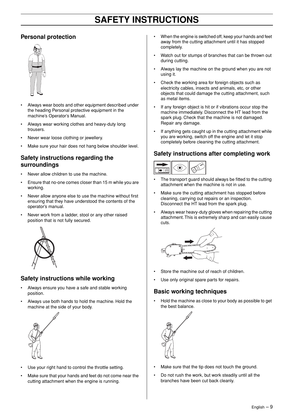#### **Personal protection**



- Always wear boots and other equipment described under the heading Personal protective equipment in the machine's Operator's Manual.
- Always wear working clothes and heavy-duty long trousers.
- Never wear loose clothing or jewellery.
- Make sure your hair does not hang below shoulder level.

#### **Safety instructions regarding the surroundings**

- Never allow children to use the machine.
- Ensure that no-one comes closer than 15 m while you are working.
- Never allow anyone else to use the machine without first ensuring that they have understood the contents of the operator's manual.
- Never work from a ladder, stool or any other raised position that is not fully secured.



#### **Safety instructions while working**

- Always ensure you have a safe and stable working position.
- Always use both hands to hold the machine. Hold the machine at the side of your body.



- Use your right hand to control the throttle setting.
- Make sure that your hands and feet do not come near the cutting attachment when the engine is running.
- When the engine is switched off, keep your hands and feet away from the cutting attachment until it has stopped completely.
- Watch out for stumps of branches that can be thrown out during cutting.
- Always lay the machine on the ground when you are not using it.
- Check the working area for foreign objects such as electricity cables, insects and animals, etc, or other objects that could damage the cutting attachment, such as metal items.
- If any foreign object is hit or if vibrations occur stop the machine immediately. Disconnect the HT lead from the spark plug. Check that the machine is not damaged. Repair any damage.
- If anything gets caught up in the cutting attachment while you are working, switch off the engine and let it stop completely before cleaning the cutting attachment.

#### **Safety instructions after completing work**



- The transport guard should always be fitted to the cutting attachment when the machine is not in use.
- Make sure the cutting attachment has stopped before cleaning, carrying out repairs or an inspection. Disconnect the HT lead from the spark plug.
- Always wear heavy-duty gloves when repairing the cutting attachment. This is extremely sharp and can easily cause cuts.



- Store the machine out of reach of children.
- Use only original spare parts for repairs.

#### **Basic working techniques**

• Hold the machine as close to your body as possible to get the best balance.



- Make sure that the tip does not touch the ground.
- Do not rush the work, but work steadily until all the branches have been cut back cleanly.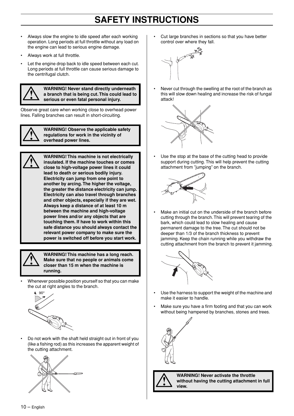- Always slow the engine to idle speed after each working operation. Long periods at full throttle without any load on the engine can lead to serious engine damage.
- Always work at full throttle.
- Let the engine drop back to idle speed between each cut. Long periods at full throttle can cause serious damage to the centrifugal clutch.



**WARNING! Never stand directly underneath**<br> **a** branch that is being cut. This could lead to<br>
serious or even fatal personal injury. **a branch that is being cut. This could lead to serious or even fatal personal injury.**

Observe great care when working close to overhead power lines. Falling branches can result in short-circuiting.



**! WARNING! Observe the applicable safety regulations for work in the vicinity of overhead power lines.**



**WARNING! This machine is not electrically**<br>insulated. If the machine touches or comes<br>close to high-voltage power lines it could **insulated. If the machine touches or comes close to high-voltage power lines it could lead to death or serious bodily injury. Electricity can jump from one point to another by arcing. The higher the voltage, the greater the distance electricity can jump. Electricity can also travel through branches and other objects, especially if they are wet. Always keep a distance of at least 10 m between the machine and high-voltage power lines and/or any objects that are touching them. If have to work within this safe distance you should always contact the relevant power company to make sure the power is switched off before you start work.**



**WARNING! This machine has a long reach.**<br> **19. Make sure that no people or animals come**<br> **19. Closer than 15 m when the machine is Make sure that no people or animals come closer than 15 m when the machine is running.**

• Whenever possible position yourself so that you can make the cut at right angles to the branch.



• Do not work with the shaft held straight out in front of you (like a fishing rod) as this increases the apparent weight of the cutting attachment.



• Cut large branches in sections so that you have better control over where they fall.



• Never cut through the swelling at the root of the branch as this will slow down healing and increase the risk of fungal attack!



Use the stop at the base of the cutting head to provide support during cutting. This will help prevent the cutting attachment from "jumping" on the branch.



Make an initial cut on the underside of the branch before cutting through the branch. This will prevent tearing of the bark, which could lead to slow healing and cause permanent damage to the tree. The cut should not be deeper than 1/3 of the branch thickness to prevent jamming. Keep the chain running while you withdraw the cutting attachment from the branch to prevent it jamming.



- Use the harness to support the weight of the machine and make it easier to handle.
- Make sure you have a firm footing and that you can work without being hampered by branches, stones and trees.





**WARNING! Never activate the throttle without having the cutting attachment in full view.**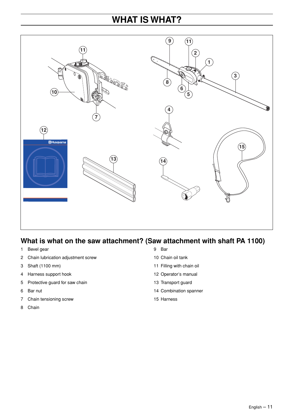# **WHAT IS WHAT?**



## **What is what on the saw attachment? (Saw attachment with shaft PA 1100)**

- 1 Bevel gear
- 2 Chain lubrication adjustment screw
- 3 Shaft (1100 mm)
- 4 Harness support hook
- 5 Protective guard for saw chain
- 6 Bar nut
- 7 Chain tensioning screw
- 8 Chain
- 9 Bar
- 10 Chain oil tank
- 11 Filling with chain oil
- 12 Operator′s manual
- 13 Transport guard
- 14 Combination spanner
- 15 Harness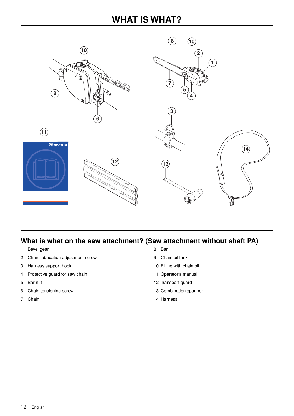# **WHAT IS WHAT?**



## **What is what on the saw attachment? (Saw attachment without shaft PA)**

- 1 Bevel gear
- 2 Chain lubrication adjustment screw
- 3 Harness support hook
- 4 Protective guard for saw chain
- 5 Bar nut
- 6 Chain tensioning screw
- 7 Chain
- 8 Bar
- 9 Chain oil tank
- 10 Filling with chain oil
- 11 Operator′s manual
- 12 Transport guard
- 13 Combination spanner
- 14 Harness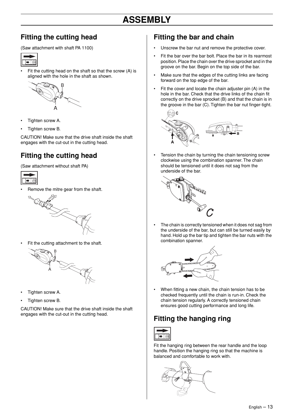### **Fitting the cutting head**

(Saw attachment with shaft PA 1100)



Fit the cutting head on the shaft so that the screw (A) is aligned with the hole in the shaft as shown.



- Tighten screw A.
- Tighten screw B.

CAUTION! Make sure that the drive shaft inside the shaft engages with the cut-out in the cutting head.

# **Fitting the cutting head**

(Saw attachment without shaft PA)



• Remove the mitre gear from the shaft.



Fit the cutting attachment to the shaft.



- Tighten screw A.
- Tighten screw B.

CAUTION! Make sure that the drive shaft inside the shaft engages with the cut-out in the cutting head.

### **Fitting the bar and chain**

- Unscrew the bar nut and remove the protective cover.
- Fit the bar over the bar bolt. Place the bar in its rearmost position. Place the chain over the drive sprocket and in the groove on the bar. Begin on the top side of the bar.
- Make sure that the edges of the cutting links are facing forward on the top edge of the bar.
- Fit the cover and locate the chain adjuster pin (A) in the hole in the bar. Check that the drive links of the chain fit correctly on the drive sprocket (B) and that the chain is in the groove in the bar (C). Tighten the bar nut finger-tight.



Tension the chain by turning the chain tensioning screw clockwise using the combination spanner. The chain should be tensioned until it does not sag from the underside of the bar.



The chain is correctly tensioned when it does not sag from the underside of the bar, but can still be turned easily by hand. Hold up the bar tip and tighten the bar nuts with the combination spanner.



• When fitting a new chain, the chain tension has to be checked frequently until the chain is run-in. Check the chain tension regularly. A correctly tensioned chain ensures good cutting performance and long life.

# **Fitting the hanging ring**



Fit the hanging ring between the rear handle and the loop handle. Position the hanging ring so that the machine is balanced and comfortable to work with.

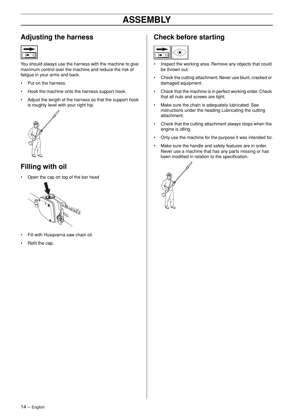### **Adjusting the harness**

You should always use the harness with the machine to give maximum control over the machine and reduce the risk of fatigue in your arms and back.

- Put on the harness.
- Hook the machine onto the harness support hook.
- Adjust the length of the harness so that the support hook is roughly level with your right hip.



# **Filling with oil**

• Open the cap on top of the bar head



- Fill with Husqvarna saw chain oil.
- Refit the cap.

### **Check before starting**



- Inspect the working area. Remove any objects that could be thrown out.
- Check the cutting attachment. Never use blunt, cracked or damaged equipment.
- Check that the machine is in perfect working order. Check that all nuts and screws are tight.
- Make sure the chain is adequately lubricated. See instructions under the heading Lubricating the cutting attachment.
- Check that the cutting attachment always stops when the engine is idling.
- Only use the machine for the purpose it was intended for.
- Make sure the handle and safety features are in order. Never use a machine that has any parts missing or has been modified in relation to the specification.

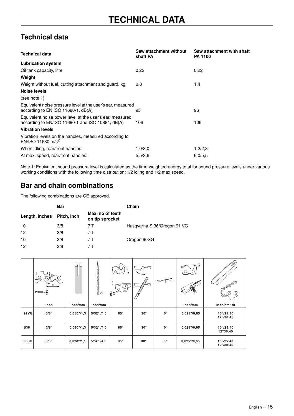# **Technical data**

| <b>Technical data</b>                                                                                        | Saw attachment without<br>shaft PA | Saw attachment with shaft<br><b>PA 1100</b> |
|--------------------------------------------------------------------------------------------------------------|------------------------------------|---------------------------------------------|
| <b>Lubrication system</b>                                                                                    |                                    |                                             |
| Oil tank capacity, litre                                                                                     | 0.22                               | 0.22                                        |
| Weight                                                                                                       |                                    |                                             |
| Weight without fuel, cutting attachment and guard, kg                                                        | 0,8                                | 1,4                                         |
| Noise levels                                                                                                 |                                    |                                             |
| (see note 1)                                                                                                 |                                    |                                             |
| Equivalent noise pressure level at the user's ear, measured<br>according to EN ISO 11680-1, dB(A)            | 95                                 | 96                                          |
| Equivalent noise power level at the user's ear, measured<br>according to EN/ISO 11680-1 and ISO 10884, dB(A) | 106                                | 106                                         |
| <b>Vibration levels</b>                                                                                      |                                    |                                             |
| Vibration levels on the handles, measured according to<br>EN/ISO 11680 m/s <sup>2</sup>                      |                                    |                                             |
| When idling, rear/front handles:                                                                             | 1,0/3,0                            | 1,2/2,3                                     |
| At max. speed, rear/front handles:                                                                           | 5,5/3,6                            | 6,0/5,5                                     |

Note 1: Equivalent sound pressure level is calculated as the time-weighted energy total for sound pressure levels under various working conditions with the following time distribution: 1/2 idling and 1/2 max speed.

# **Bar and chain combinations**

The following combinations are CE approved.

|                | <b>Bar</b>  |                                     | Chain                       |  |  |
|----------------|-------------|-------------------------------------|-----------------------------|--|--|
| Length, inches | Pitch, inch | Max, no of teeth<br>on tip sprocket |                             |  |  |
| 10             | 3/8         | 7 T                                 | Husqvarna S 36/Oregon 91 VG |  |  |
| 12             | 3/8         | 7 T                                 |                             |  |  |
| 10             | 3/8         | 7 T                                 | Oregon 90SG                 |  |  |
| 12             | 3/8         |                                     |                             |  |  |

|            | O<br>⊙.<br>D<br>PITCH = $\frac{D}{2}$ |              | <b>DESCRIPTION CONTINUOUS CONTINUOUS</b><br>Ø | $O\_O$<br>$\frac{1}{5}$ Ø | J<br><i>₿</i> |             |               | <b>BOOK ASSESS</b>     |
|------------|---------------------------------------|--------------|-----------------------------------------------|---------------------------|---------------|-------------|---------------|------------------------|
|            | inch                                  | inch/mm      | inch/mm                                       |                           |               |             | inch/mm       | inch/cm: dl            |
| 91 V G     | $3/8$ "                               | 0,050" / 1,3 | 5/32" /4,0                                    | $85^\circ$                | $30^\circ$    | $0^{\circ}$ | 0,025" / 0,65 | 10"/25:40<br>12"/30:45 |
| <b>S36</b> | 3/8"                                  | 0,050" / 1,3 | $5/32"$ /4,0                                  | $85^\circ$                | $30^\circ$    | $0^{\circ}$ | 0,025" / 0,65 | 10"/25:40<br>12"30:45  |
| 90SG       | 3/8"                                  | 0,028''/1,1  | 5/32" /4,0                                    | $85^\circ$                | $30^{\circ}$  | $0^{\circ}$ | 0,025" / 0,65 | 10"/25:40<br>12"/30:45 |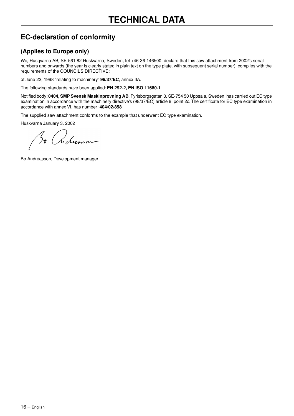# **TECHNICAL DATA**

# **EC-declaration of conformity**

#### **(Applies to Europe only)**

We, Husqvarna AB, SE-561 82 Huskvarna, Sweden, tel +46-36-146500, declare that this saw attachment from 2002's serial numbers and onwards (the year is clearly stated in plain text on the type plate, with subsequent serial number), complies with the requirements of the COUNCIL'S DIRECTIVE:

of June 22, 1998 "relating to machinery" **98/37/EC**, annex IIA.

The following standards have been applied: **EN 292-2, EN ISO 11680-1**

Notified body: **0404, SMP Svensk Maskinprovning AB**, Fyrisborgsgatan 3, SE-754 50 Uppsala, Sweden, has carried out EC type examination in accordance with the machinery directive's (98/37/EC) article 8, point 2c. The certificate for EC type examination in accordance with annex VI, has number: **404/02/858**

The supplied saw attachment conforms to the example that underwent EC type examination.

Huskvarna January 3, 2002

n dicomme

Bo Andréasson, Development manager